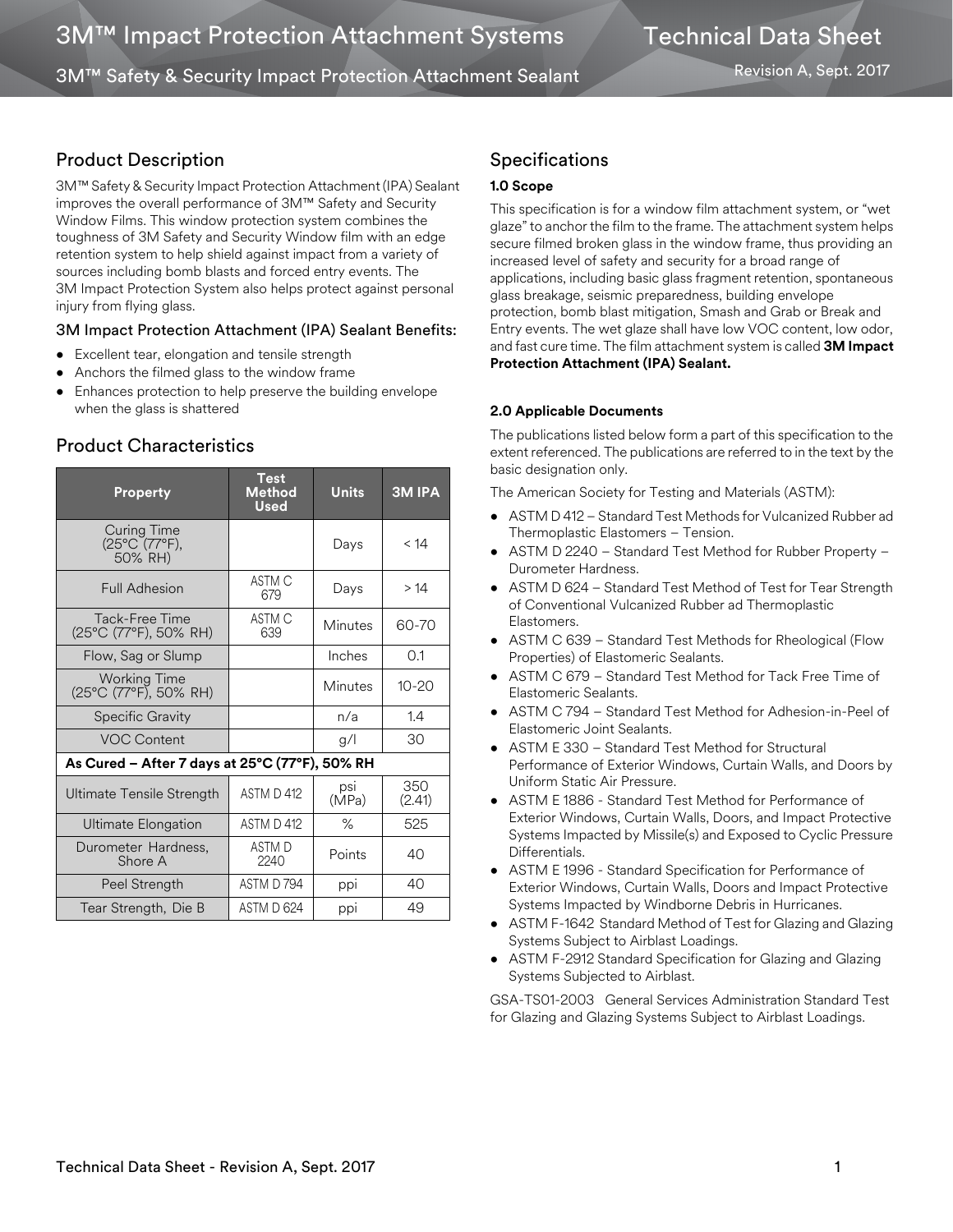3M™ Safety & Security Impact Protection Attachment Sealant

Revision A, Sept. 2017

# Product Description

3M™ Safety & Security Impact Protection Attachment (IPA) Sealant improves the overall performance of 3M™ Safety and Security Window Films. This window protection system combines the toughness of 3M Safety and Security Window film with an edge retention system to help shield against impact from a variety of sources including bomb blasts and forced entry events. The 3M Impact Protection System also helps protect against personal injury from flying glass.

## 3M Impact Protection Attachment (IPA) Sealant Benefits:

- Excellent tear, elongation and tensile strength
- Anchors the filmed glass to the window frame
- Enhances protection to help preserve the building envelope when the glass is shattered

| <b>Property</b>                                | Test<br><b>Method</b><br>Used | <b>Units</b>   | <b>3M IPA</b> |  |
|------------------------------------------------|-------------------------------|----------------|---------------|--|
| Curing Time<br>(25°C (77°F),<br>50% RH)        |                               | Days           | < 14          |  |
| <b>Full Adhesion</b>                           | ASTM C<br>679                 | Days           | >14           |  |
| Tack-Free Time<br>(25°C (77°F), 50% RH)        | ASTM C<br>639                 | <b>Minutes</b> | 60-70         |  |
| Flow, Sag or Slump                             |                               | Inches         | 0.1           |  |
| <b>Working Time</b><br>(25°C (77°F), 50% RH)   |                               | Minutes        | $10 - 20$     |  |
| <b>Specific Gravity</b>                        |                               | n/a            | 1.4           |  |
| <b>VOC Content</b>                             |                               | g/             | 30            |  |
| As Cured - After 7 days at 25°C (77°F), 50% RH |                               |                |               |  |
| <b>Ultimate Tensile Strength</b>               | ASTM D 412                    | psi<br>(MPa)   | 350<br>(2.41) |  |
| Ultimate Elongation                            | ASTM D 412                    | $\%$           | 525           |  |
| Durometer Hardness,<br>Shore A                 | <b>ASTMD</b><br>2240          | Points         | 40            |  |
| Peel Strength                                  | ASTM D794                     | ppi            | 40            |  |
| Tear Strength, Die B                           | ASTM D 624                    | ppi            | 49            |  |

## Product Characteristics

## Specifications

### **1.0 Scope**

This specification is for a window film attachment system, or "wet glaze" to anchor the film to the frame. The attachment system helps secure filmed broken glass in the window frame, thus providing an increased level of safety and security for a broad range of applications, including basic glass fragment retention, spontaneous glass breakage, seismic preparedness, building envelope protection, bomb blast mitigation, Smash and Grab or Break and Entry events. The wet glaze shall have low VOC content, low odor, and fast cure time. The film attachment system is called **3M Impact Protection Attachment (IPA) Sealant.**

## **2.0 Applicable Documents**

The publications listed below form a part of this specification to the extent referenced. The publications are referred to in the text by the basic designation only.

The American Society for Testing and Materials (ASTM):

- ASTM D 412 Standard Test Methods for Vulcanized Rubber ad Thermoplastic Elastomers – Tension.
- ASTM D 2240 Standard Test Method for Rubber Property Durometer Hardness.
- ASTM D 624 Standard Test Method of Test for Tear Strength of Conventional Vulcanized Rubber ad Thermoplastic Elastomers.
- ASTM C 639 Standard Test Methods for Rheological (Flow Properties) of Elastomeric Sealants.
- ASTM C 679 Standard Test Method for Tack Free Time of Elastomeric Sealants.
- ASTM C 794 Standard Test Method for Adhesion-in-Peel of Elastomeric Joint Sealants.
- ASTM E 330 Standard Test Method for Structural Performance of Exterior Windows, Curtain Walls, and Doors by Uniform Static Air Pressure.
- ASTM E 1886 Standard Test Method for Performance of Exterior Windows, Curtain Walls, Doors, and Impact Protective Systems Impacted by Missile(s) and Exposed to Cyclic Pressure **Differentials**
- ASTM E 1996 Standard Specification for Performance of Exterior Windows, Curtain Walls, Doors and Impact Protective Systems Impacted by Windborne Debris in Hurricanes.
- ASTM F-1642 Standard Method of Test for Glazing and Glazing Systems Subject to Airblast Loadings.
- ASTM F-2912 Standard Specification for Glazing and Glazing Systems Subjected to Airblast.

GSA-TS01-2003 General Services Administration Standard Test for Glazing and Glazing Systems Subject to Airblast Loadings.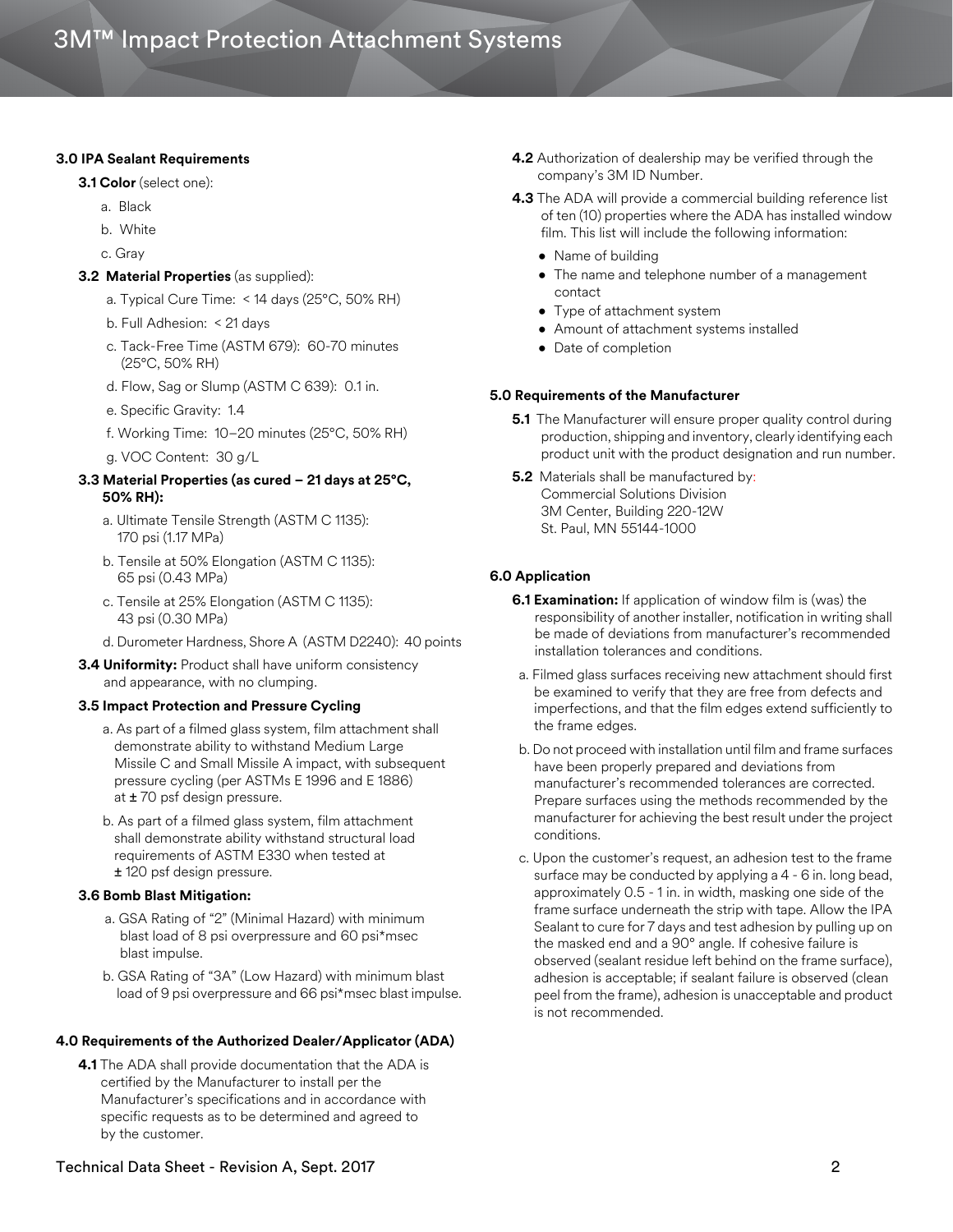#### **3.0 IPA Sealant Requirements**

#### **3.1 Color** (select one):

- a. Black
- b. White
- c. Gray

#### **3.2 Material Properties** (as supplied):

- a. Typical Cure Time: < 14 days (25°C, 50% RH)
- b. Full Adhesion: < 21 days
- c. Tack-Free Time (ASTM 679): 60-70 minutes (25°C, 50% RH)
- d. Flow, Sag or Slump (ASTM C 639): 0.1 in.
- e. Specific Gravity: 1.4
- f. Working Time: 10–20 minutes (25°C, 50% RH)
- g. VOC Content: 30 g/L

#### **3.3 Material Properties (as cured – 21 days at 25°C, 50% RH):**

- a. Ultimate Tensile Strength (ASTM C 1135): 170 psi (1.17 MPa)
- b. Tensile at 50% Elongation (ASTM C 1135): 65 psi (0.43 MPa)
- c. Tensile at 25% Elongation (ASTM C 1135): 43 psi (0.30 MPa)
- d. Durometer Hardness, Shore A (ASTM D2240): 40 points
- **3.4 Uniformity:** Product shall have uniform consistency and appearance, with no clumping.

#### **3.5 Impact Protection and Pressure Cycling**

- a. As part of a filmed glass system, film attachment shall demonstrate ability to withstand Medium Large Missile C and Small Missile A impact, with subsequent pressure cycling (per ASTMs E 1996 and E 1886) at ± 70 psf design pressure.
- b. As part of a filmed glass system, film attachment shall demonstrate ability withstand structural load requirements of ASTM E330 when tested at ± 120 psf design pressure.

#### **3.6 Bomb Blast Mitigation:**

- a. GSA Rating of "2" (Minimal Hazard) with minimum blast load of 8 psi overpressure and 60 psi\*msec blast impulse.
- b. GSA Rating of "3A" (Low Hazard) with minimum blast load of 9 psi overpressure and 66 psi\*msec blast impulse.

#### **4.0 Requirements of the Authorized Dealer/Applicator (ADA)**

**4.1** The ADA shall provide documentation that the ADA is certified by the Manufacturer to install per the Manufacturer's specifications and in accordance with specific requests as to be determined and agreed to by the customer.

- **4.2** Authorization of dealership may be verified through the company's 3M ID Number.
- **4.3** The ADA will provide a commercial building reference list of ten (10) properties where the ADA has installed window film. This list will include the following information:
	- Name of building
	- The name and telephone number of a management contact
	- Type of attachment system
	- Amount of attachment systems installed
	- Date of completion

#### **5.0 Requirements of the Manufacturer**

- **5.1** The Manufacturer will ensure proper quality control during production, shipping and inventory, clearly identifying each product unit with the product designation and run number.
- **5.2** Materials shall be manufactured by: Commercial Solutions Division 3M Center, Building 220-12W St. Paul, MN 55144-1000

#### **6.0 Application**

- **6.1 Examination:** If application of window film is (was) the responsibility of another installer, notification in writing shall be made of deviations from manufacturer's recommended installation tolerances and conditions.
- a. Filmed glass surfaces receiving new attachment should first be examined to verify that they are free from defects and imperfections, and that the film edges extend sufficiently to the frame edges.
- b. Do not proceed with installation until film and frame surfaces have been properly prepared and deviations from manufacturer's recommended tolerances are corrected. Prepare surfaces using the methods recommended by the manufacturer for achieving the best result under the project conditions.
- c. Upon the customer's request, an adhesion test to the frame surface may be conducted by applying a 4 - 6 in. long bead, approximately 0.5 - 1 in. in width, masking one side of the frame surface underneath the strip with tape. Allow the IPA Sealant to cure for 7 days and test adhesion by pulling up on the masked end and a 90° angle. If cohesive failure is observed (sealant residue left behind on the frame surface), adhesion is acceptable; if sealant failure is observed (clean peel from the frame), adhesion is unacceptable and product is not recommended.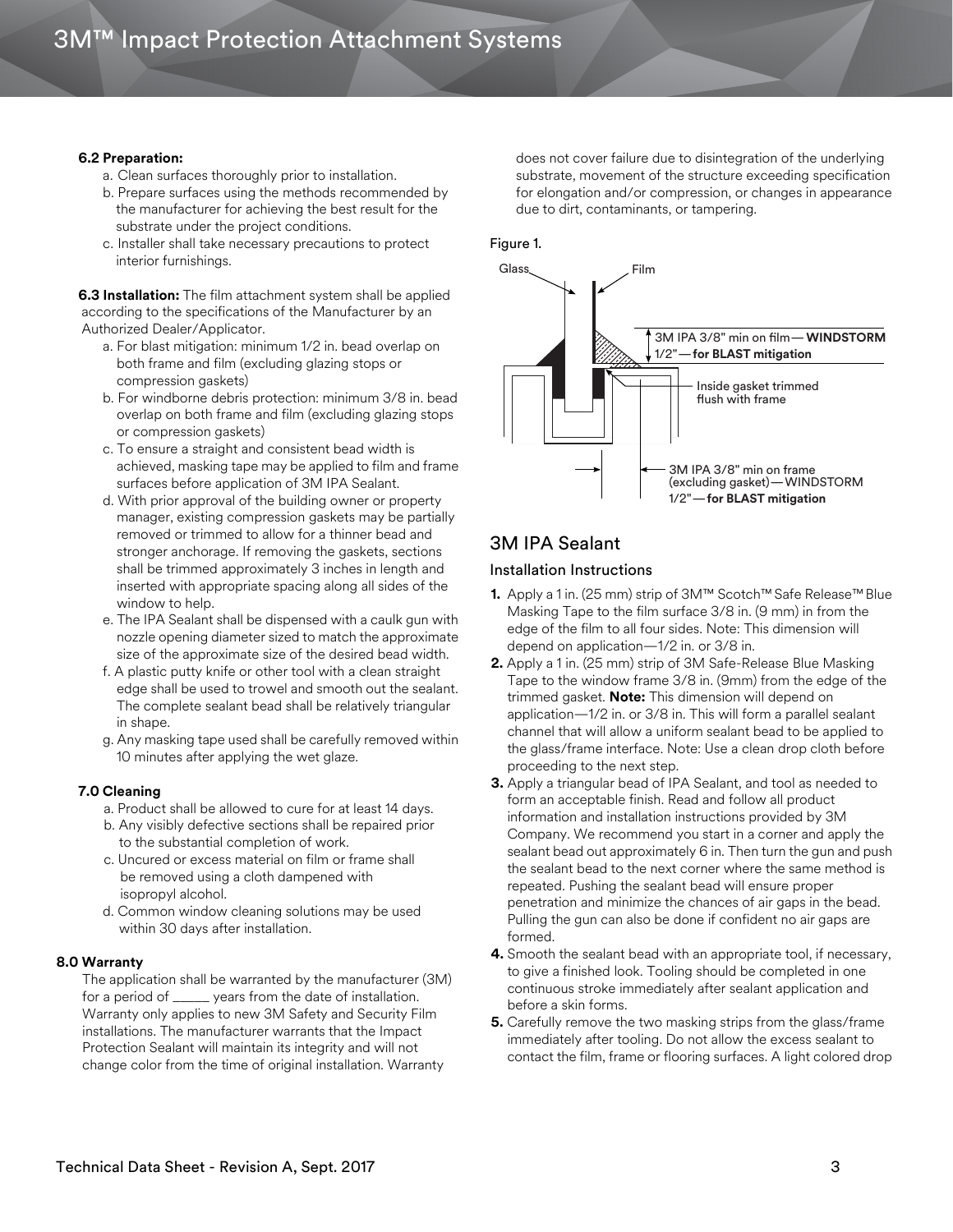#### **6.2 Preparation:**

- a. Clean surfaces thoroughly prior to installation.
- b. Prepare surfaces using the methods recommended by the manufacturer for achieving the best result for the substrate under the project conditions.
- c. Installer shall take necessary precautions to protect interior furnishings.

**6.3 Installation:** The film attachment system shall be applied according to the specifications of the Manufacturer by an Authorized Dealer/Applicator.

- a. For blast mitigation: minimum 1/2 in. bead overlap on both frame and film (excluding glazing stops or compression gaskets)
- b. For windborne debris protection: minimum 3/8 in. bead overlap on both frame and film (excluding glazing stops or compression gaskets)
- c. To ensure a straight and consistent bead width is achieved, masking tape may be applied to film and frame surfaces before application of 3M IPA Sealant.
- d. With prior approval of the building owner or property manager, existing compression gaskets may be partially removed or trimmed to allow for a thinner bead and stronger anchorage. If removing the gaskets, sections shall be trimmed approximately 3 inches in length and inserted with appropriate spacing along all sides of the window to help.
- e. The IPA Sealant shall be dispensed with a caulk gun with nozzle opening diameter sized to match the approximate size of the approximate size of the desired bead width.
- f. A plastic putty knife or other tool with a clean straight edge shall be used to trowel and smooth out the sealant. The complete sealant bead shall be relatively triangular in shape.
- g. Any masking tape used shall be carefully removed within 10 minutes after applying the wet glaze.

### **7.0 Cleaning**

- a. Product shall be allowed to cure for at least 14 days.
- b. Any visibly defective sections shall be repaired prior to the substantial completion of work.
- c. Uncured or excess material on film or frame shall be removed using a cloth dampened with isopropyl alcohol.
- d. Common window cleaning solutions may be used within 30 days after installation.

#### **8.0 Warranty**

The application shall be warranted by the manufacturer (3M) for a period of \_\_\_\_\_ years from the date of installation. Warranty only applies to new 3M Safety and Security Film installations. The manufacturer warrants that the Impact Protection Sealant will maintain its integrity and will not change color from the time of original installation. Warranty

does not cover failure due to disintegration of the underlying substrate, movement of the structure exceeding specification for elongation and/or compression, or changes in appearance due to dirt, contaminants, or tampering.

#### Figure 1.



# 3M IPA Sealant

## Installation Instructions

- **1.** Apply a 1 in. (25 mm) strip of 3M™ Scotch™ Safe Release™ Blue Masking Tape to the film surface 3/8 in. (9 mm) in from the edge of the film to all four sides. Note: This dimension will depend on application—1/2 in. or 3/8 in.
- **2.** Apply a 1 in. (25 mm) strip of 3M Safe-Release Blue Masking Tape to the window frame 3/8 in. (9mm) from the edge of the trimmed gasket. **Note:** This dimension will depend on application—1/2 in. or 3/8 in. This will form a parallel sealant channel that will allow a uniform sealant bead to be applied to the glass/frame interface. Note: Use a clean drop cloth before proceeding to the next step.
- **3.** Apply a triangular bead of IPA Sealant, and tool as needed to form an acceptable finish. Read and follow all product information and installation instructions provided by 3M Company. We recommend you start in a corner and apply the sealant bead out approximately 6 in. Then turn the gun and push the sealant bead to the next corner where the same method is repeated. Pushing the sealant bead will ensure proper penetration and minimize the chances of air gaps in the bead. Pulling the gun can also be done if confident no air gaps are formed.
- **4.** Smooth the sealant bead with an appropriate tool, if necessary, to give a finished look. Tooling should be completed in one continuous stroke immediately after sealant application and before a skin forms.
- **5.** Carefully remove the two masking strips from the glass/frame immediately after tooling. Do not allow the excess sealant to contact the film, frame or flooring surfaces. A light colored drop